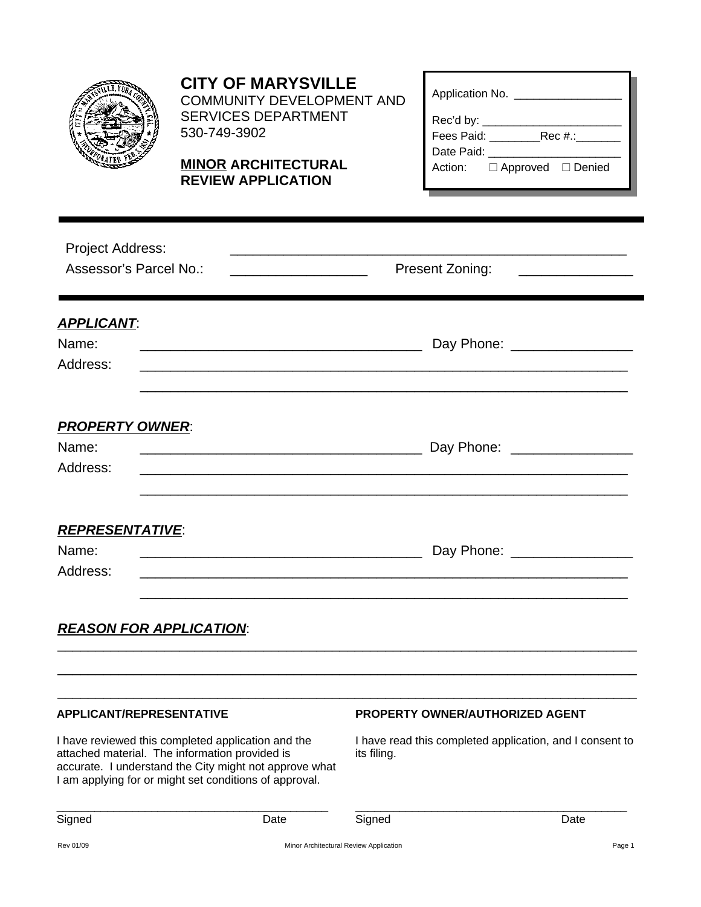

## **CITY OF MARYSVILLE**

COMMUNITY DEVELOPMENT AND SERVICES DEPARTMENT 530-749-3902

### **MINOR ARCHITECTURAL REVIEW APPLICATION**

| Application No. __          |  |  |  |  |  |  |
|-----------------------------|--|--|--|--|--|--|
| Rec'd by:                   |  |  |  |  |  |  |
| Fees Paid: Rec #.:          |  |  |  |  |  |  |
| Date Paid:                  |  |  |  |  |  |  |
| Action: □ Approved □ Denied |  |  |  |  |  |  |

| Project Address:<br>Assessor's Parcel No.:<br><u> 1990 - Johann Barbara, martxa alemaniar a</u> | Present Zoning:                                                                             |  |  |  |  |  |
|-------------------------------------------------------------------------------------------------|---------------------------------------------------------------------------------------------|--|--|--|--|--|
| <b>APPLICANT:</b><br>Name:<br>Address:                                                          | Day Phone: __________________                                                               |  |  |  |  |  |
| <b>PROPERTY OWNER:</b><br>Name:<br>Address:                                                     |                                                                                             |  |  |  |  |  |
| <b>REPRESENTATIVE:</b><br>Name:<br>Address:                                                     | Day Phone: _________________                                                                |  |  |  |  |  |
| <b>REASON FOR APPLICATION:</b>                                                                  |                                                                                             |  |  |  |  |  |
| <b>APPLICANT/REPRESENTATIVE</b><br>I have reviewed this completed application and the           | PROPERTY OWNER/AUTHORIZED AGENT<br>I have read this completed application, and I consent to |  |  |  |  |  |

attached material. The information provided is accurate. I understand the City might not approve what I am applying for or might set conditions of approval.

its filing.

| Signet | )ate | -<br>3ianec<br>ີ | лне |
|--------|------|------------------|-----|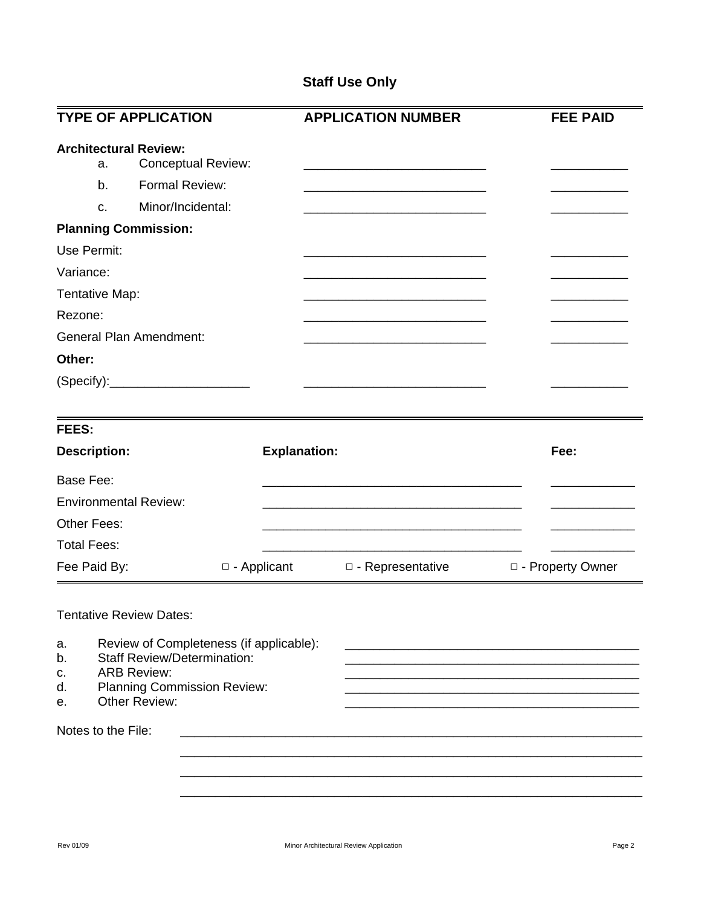### **Staff Use Only**

|                                                | <b>TYPE OF APPLICATION</b>                                                                                                                                 |                     | <b>APPLICATION NUMBER</b>                                                                                            | <b>FEE PAID</b>    |
|------------------------------------------------|------------------------------------------------------------------------------------------------------------------------------------------------------------|---------------------|----------------------------------------------------------------------------------------------------------------------|--------------------|
| <b>Architectural Review:</b><br>a.<br>b.<br>c. | <b>Conceptual Review:</b><br>Formal Review:<br>Minor/Incidental:                                                                                           |                     | <u> 1989 - Johann John Stone, markin film yn y brenin y brenin y brenin y brenin y brenin y brenin y brenin y br</u> |                    |
| <b>Planning Commission:</b>                    |                                                                                                                                                            |                     |                                                                                                                      |                    |
| Use Permit:                                    |                                                                                                                                                            |                     |                                                                                                                      |                    |
| Variance:                                      |                                                                                                                                                            |                     |                                                                                                                      |                    |
| Tentative Map:                                 |                                                                                                                                                            |                     |                                                                                                                      |                    |
| Rezone:                                        |                                                                                                                                                            |                     |                                                                                                                      |                    |
| <b>General Plan Amendment:</b>                 |                                                                                                                                                            |                     |                                                                                                                      |                    |
| Other:                                         |                                                                                                                                                            |                     |                                                                                                                      |                    |
|                                                | (Specify):___________________________                                                                                                                      |                     |                                                                                                                      |                    |
| FEES:                                          |                                                                                                                                                            |                     |                                                                                                                      |                    |
| <b>Description:</b>                            |                                                                                                                                                            | <b>Explanation:</b> |                                                                                                                      | Fee:               |
| Base Fee:                                      |                                                                                                                                                            |                     |                                                                                                                      |                    |
| <b>Environmental Review:</b>                   |                                                                                                                                                            |                     |                                                                                                                      |                    |
| Other Fees:                                    |                                                                                                                                                            |                     |                                                                                                                      |                    |
| <b>Total Fees:</b>                             |                                                                                                                                                            |                     |                                                                                                                      |                    |
| Fee Paid By:                                   |                                                                                                                                                            | □ - Applicant       | $\Box$ - Representative                                                                                              | □ - Property Owner |
| <b>Tentative Review Dates:</b>                 |                                                                                                                                                            |                     |                                                                                                                      |                    |
| a.<br>b.<br>c.<br>d.<br>е.                     | Review of Completeness (if applicable):<br><b>Staff Review/Determination:</b><br><b>ARB Review:</b><br><b>Planning Commission Review:</b><br>Other Review: |                     |                                                                                                                      |                    |
| Notes to the File:                             |                                                                                                                                                            |                     |                                                                                                                      |                    |
|                                                |                                                                                                                                                            |                     |                                                                                                                      |                    |
|                                                |                                                                                                                                                            |                     |                                                                                                                      |                    |
|                                                |                                                                                                                                                            |                     |                                                                                                                      |                    |